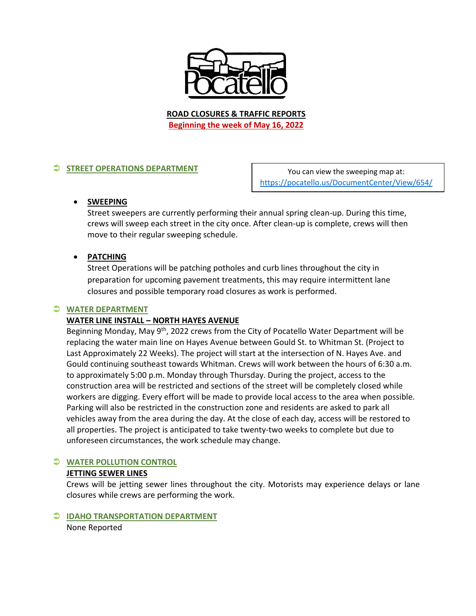

**ROAD CLOSURES & TRAFFIC REPORTS Beginning the week of May 16, 2022**

## **STREET OPERATIONS DEPARTMENT**

You can view the sweeping map at: <https://pocatello.us/DocumentCenter/View/654/>

## **SWEEPING**

Street sweepers are currently performing their annual spring clean-up. During this time, crews will sweep each street in the city once. After clean-up is complete, crews will then move to their regular sweeping schedule.

## **PATCHING**

Street Operations will be patching potholes and curb lines throughout the city in preparation for upcoming pavement treatments, this may require intermittent lane closures and possible temporary road closures as work is performed.

### **WATER DEPARTMENT**

## **WATER LINE INSTALL – NORTH HAYES AVENUE**

Beginning Monday, May 9<sup>th</sup>, 2022 crews from the City of Pocatello Water Department will be replacing the water main line on Hayes Avenue between Gould St. to Whitman St. (Project to Last Approximately 22 Weeks). The project will start at the intersection of N. Hayes Ave. and Gould continuing southeast towards Whitman. Crews will work between the hours of 6:30 a.m. to approximately 5:00 p.m. Monday through Thursday. During the project, access to the construction area will be restricted and sections of the street will be completely closed while workers are digging. Every effort will be made to provide local access to the area when possible. Parking will also be restricted in the construction zone and residents are asked to park all vehicles away from the area during the day. At the close of each day, access will be restored to all properties. The project is anticipated to take twenty-two weeks to complete but due to unforeseen circumstances, the work schedule may change.

## **WATER POLLUTION CONTROL**

## **JETTING SEWER LINES**

Crews will be jetting sewer lines throughout the city. Motorists may experience delays or lane closures while crews are performing the work.

# **IDAHO TRANSPORTATION DEPARTMENT**

None Reported